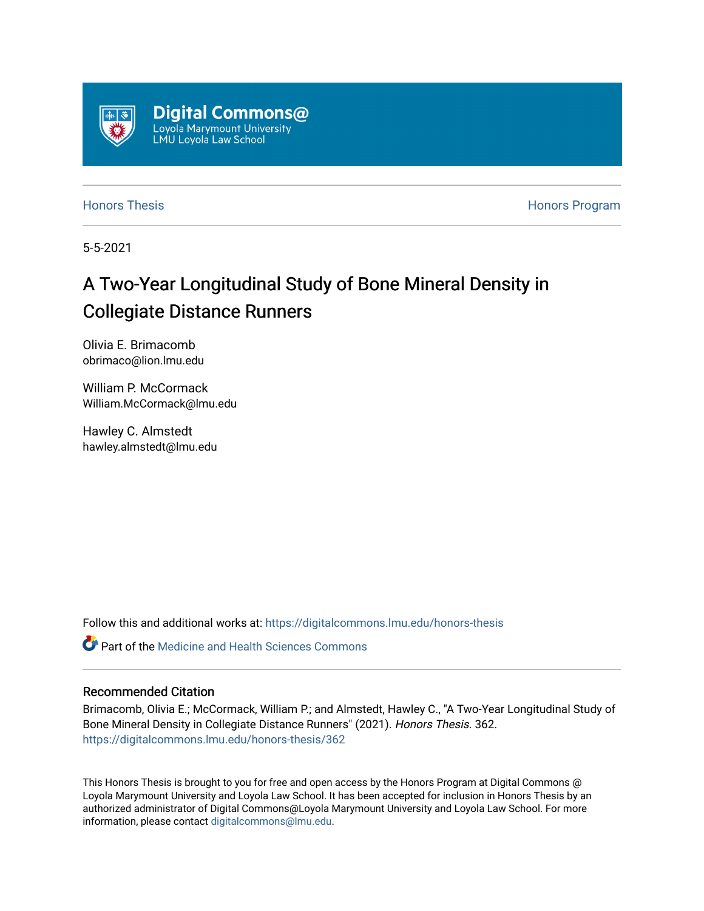

[Honors Thesis](https://digitalcommons.lmu.edu/honors-thesis) [Honors Program](https://digitalcommons.lmu.edu/lmu_honorsprogram) 

5-5-2021

## A Two-Year Longitudinal Study of Bone Mineral Density in Collegiate Distance Runners

Olivia E. Brimacomb obrimaco@lion.lmu.edu

William P. McCormack William.McCormack@lmu.edu

Hawley C. Almstedt hawley.almstedt@lmu.edu

Follow this and additional works at: [https://digitalcommons.lmu.edu/honors-thesis](https://digitalcommons.lmu.edu/honors-thesis?utm_source=digitalcommons.lmu.edu%2Fhonors-thesis%2F362&utm_medium=PDF&utm_campaign=PDFCoverPages)

**C** Part of the Medicine and Health Sciences Commons

#### Recommended Citation

Brimacomb, Olivia E.; McCormack, William P.; and Almstedt, Hawley C., "A Two-Year Longitudinal Study of Bone Mineral Density in Collegiate Distance Runners" (2021). Honors Thesis. 362. [https://digitalcommons.lmu.edu/honors-thesis/362](https://digitalcommons.lmu.edu/honors-thesis/362?utm_source=digitalcommons.lmu.edu%2Fhonors-thesis%2F362&utm_medium=PDF&utm_campaign=PDFCoverPages) 

This Honors Thesis is brought to you for free and open access by the Honors Program at Digital Commons @ Loyola Marymount University and Loyola Law School. It has been accepted for inclusion in Honors Thesis by an authorized administrator of Digital Commons@Loyola Marymount University and Loyola Law School. For more information, please contact [digitalcommons@lmu.edu.](mailto:digitalcommons@lmu.edu)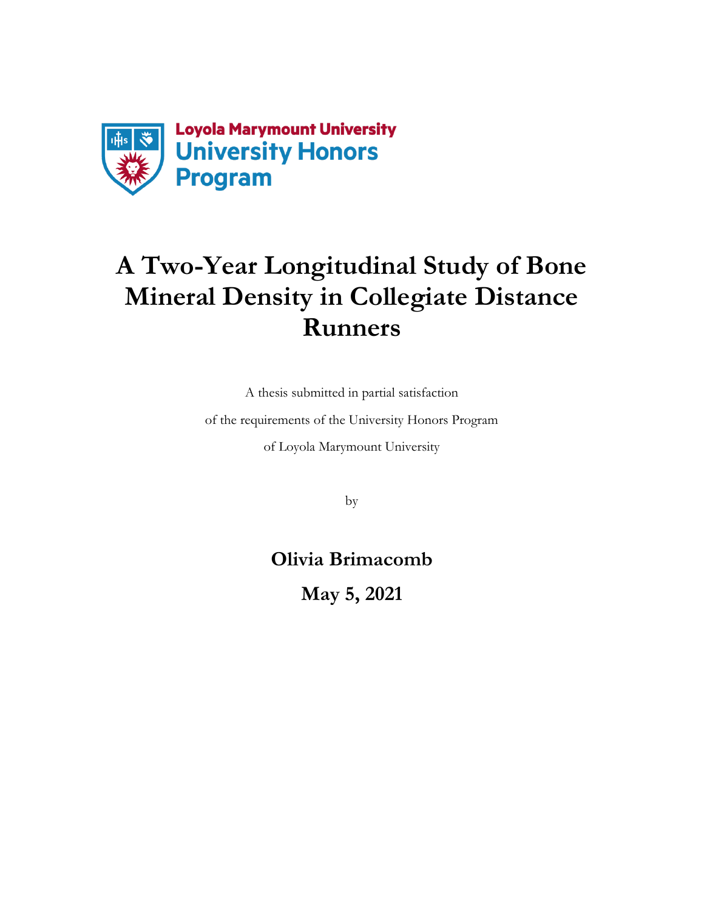

# **A Two-Year Longitudinal Study of Bone Mineral Density in Collegiate Distance Runners**

A thesis submitted in partial satisfaction

of the requirements of the University Honors Program

of Loyola Marymount University

by

**Olivia Brimacomb**

**May 5, 2021**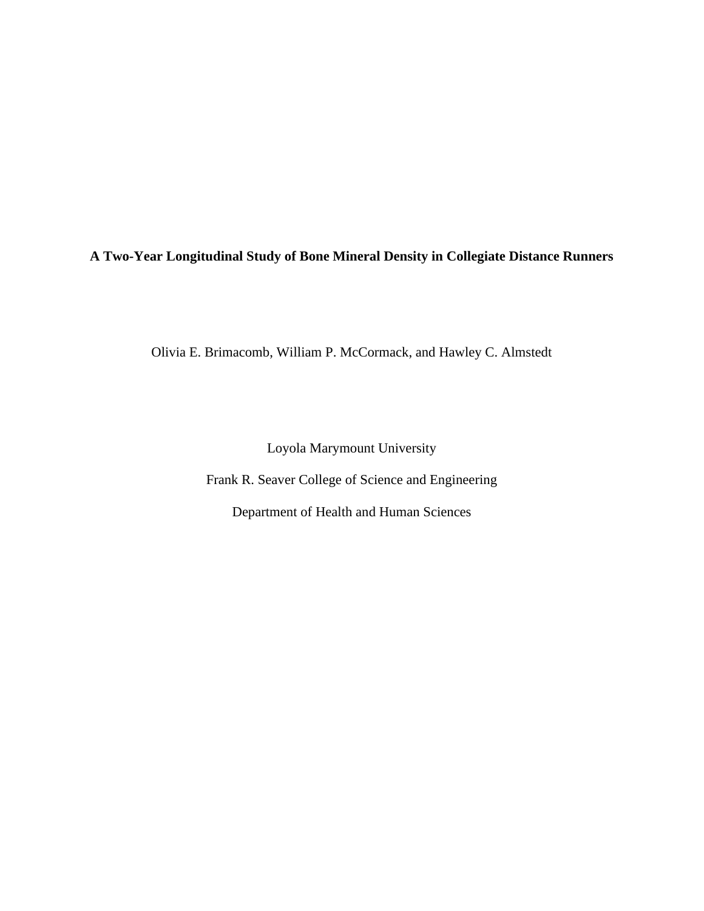### **A Two-Year Longitudinal Study of Bone Mineral Density in Collegiate Distance Runners**

Olivia E. Brimacomb, William P. McCormack, and Hawley C. Almstedt

Loyola Marymount University

Frank R. Seaver College of Science and Engineering

Department of Health and Human Sciences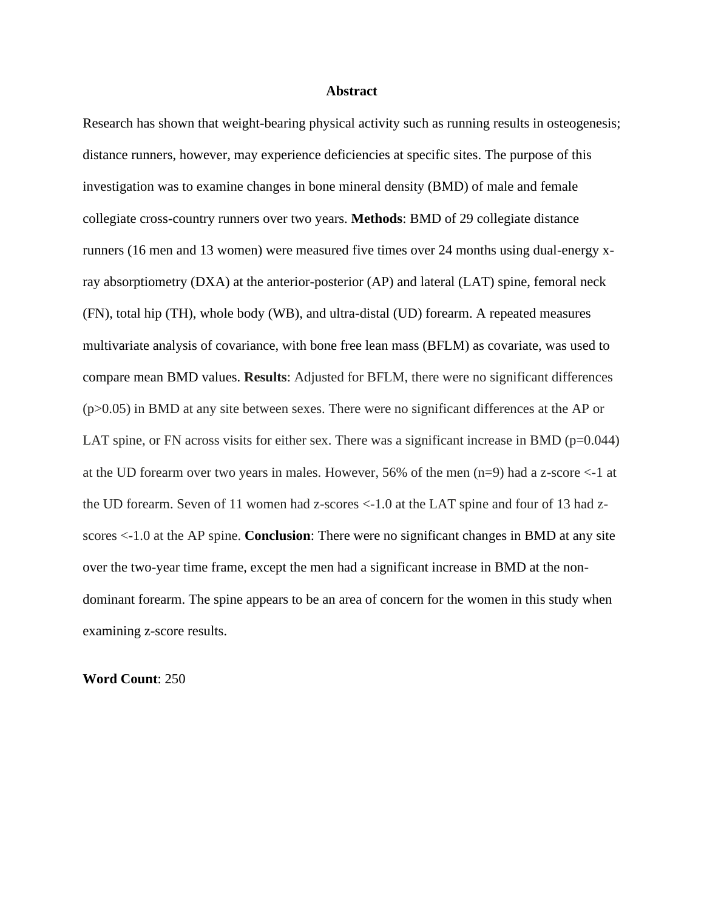#### **Abstract**

Research has shown that weight-bearing physical activity such as running results in osteogenesis; distance runners, however, may experience deficiencies at specific sites. The purpose of this investigation was to examine changes in bone mineral density (BMD) of male and female collegiate cross-country runners over two years. **Methods**: BMD of 29 collegiate distance runners (16 men and 13 women) were measured five times over 24 months using dual-energy xray absorptiometry (DXA) at the anterior-posterior (AP) and lateral (LAT) spine, femoral neck (FN), total hip (TH), whole body (WB), and ultra-distal (UD) forearm. A repeated measures multivariate analysis of covariance, with bone free lean mass (BFLM) as covariate, was used to compare mean BMD values. **Results**: Adjusted for BFLM, there were no significant differences (p>0.05) in BMD at any site between sexes. There were no significant differences at the AP or LAT spine, or FN across visits for either sex. There was a significant increase in BMD ( $p=0.044$ ) at the UD forearm over two years in males. However, 56% of the men (n=9) had a z-score <-1 at the UD forearm. Seven of 11 women had z-scores <-1.0 at the LAT spine and four of 13 had zscores <-1.0 at the AP spine. **Conclusion**: There were no significant changes in BMD at any site over the two-year time frame, except the men had a significant increase in BMD at the nondominant forearm. The spine appears to be an area of concern for the women in this study when examining z-score results.

**Word Count**: 250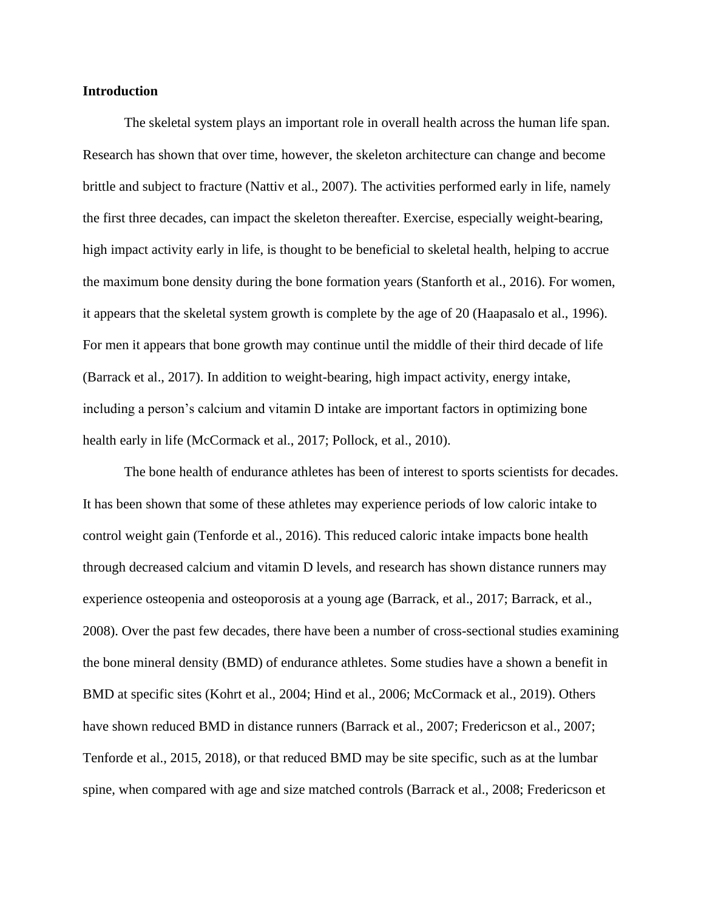#### **Introduction**

The skeletal system plays an important role in overall health across the human life span. Research has shown that over time, however, the skeleton architecture can change and become brittle and subject to fracture (Nattiv et al., 2007). The activities performed early in life, namely the first three decades, can impact the skeleton thereafter. Exercise, especially weight-bearing, high impact activity early in life, is thought to be beneficial to skeletal health, helping to accrue the maximum bone density during the bone formation years (Stanforth et al., 2016). For women, it appears that the skeletal system growth is complete by the age of 20 (Haapasalo et al., 1996). For men it appears that bone growth may continue until the middle of their third decade of life (Barrack et al., 2017). In addition to weight-bearing, high impact activity, energy intake, including a person's calcium and vitamin D intake are important factors in optimizing bone health early in life (McCormack et al., 2017; Pollock, et al., 2010).

The bone health of endurance athletes has been of interest to sports scientists for decades. It has been shown that some of these athletes may experience periods of low caloric intake to control weight gain (Tenforde et al., 2016). This reduced caloric intake impacts bone health through decreased calcium and vitamin D levels, and research has shown distance runners may experience osteopenia and osteoporosis at a young age (Barrack, et al., 2017; Barrack, et al., 2008). Over the past few decades, there have been a number of cross-sectional studies examining the bone mineral density (BMD) of endurance athletes. Some studies have a shown a benefit in BMD at specific sites (Kohrt et al., 2004; Hind et al., 2006; McCormack et al., 2019). Others have shown reduced BMD in distance runners (Barrack et al., 2007; Fredericson et al., 2007; Tenforde et al., 2015, 2018), or that reduced BMD may be site specific, such as at the lumbar spine, when compared with age and size matched controls (Barrack et al., 2008; Fredericson et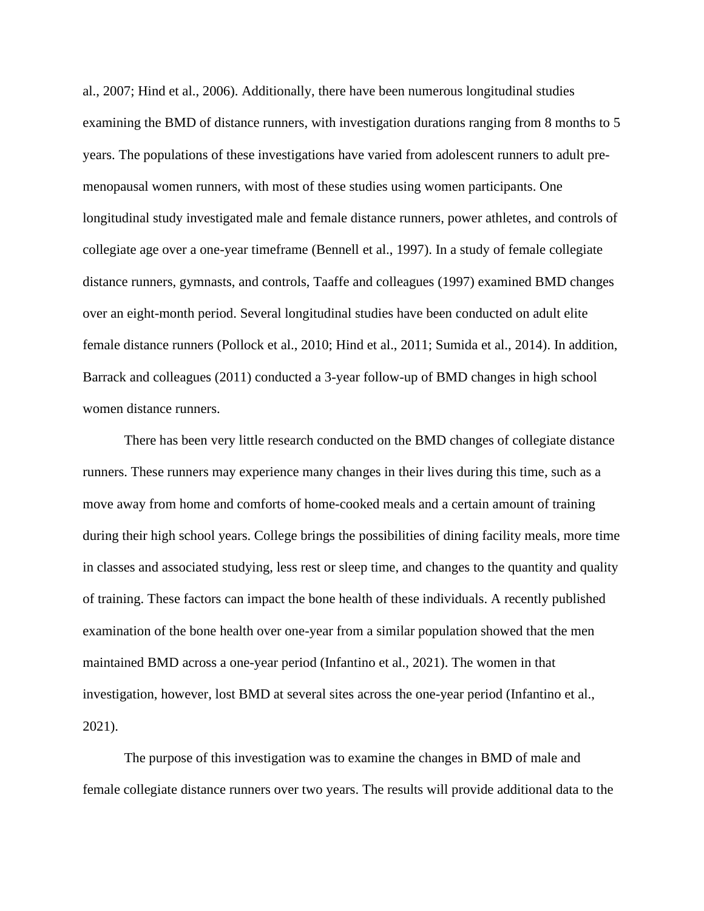al., 2007; Hind et al., 2006). Additionally, there have been numerous longitudinal studies examining the BMD of distance runners, with investigation durations ranging from 8 months to 5 years. The populations of these investigations have varied from adolescent runners to adult premenopausal women runners, with most of these studies using women participants. One longitudinal study investigated male and female distance runners, power athletes, and controls of collegiate age over a one-year timeframe (Bennell et al., 1997). In a study of female collegiate distance runners, gymnasts, and controls, Taaffe and colleagues (1997) examined BMD changes over an eight-month period. Several longitudinal studies have been conducted on adult elite female distance runners (Pollock et al., 2010; Hind et al., 2011; Sumida et al., 2014). In addition, Barrack and colleagues (2011) conducted a 3-year follow-up of BMD changes in high school women distance runners.

There has been very little research conducted on the BMD changes of collegiate distance runners. These runners may experience many changes in their lives during this time, such as a move away from home and comforts of home-cooked meals and a certain amount of training during their high school years. College brings the possibilities of dining facility meals, more time in classes and associated studying, less rest or sleep time, and changes to the quantity and quality of training. These factors can impact the bone health of these individuals. A recently published examination of the bone health over one-year from a similar population showed that the men maintained BMD across a one-year period (Infantino et al., 2021). The women in that investigation, however, lost BMD at several sites across the one-year period (Infantino et al., 2021).

The purpose of this investigation was to examine the changes in BMD of male and female collegiate distance runners over two years. The results will provide additional data to the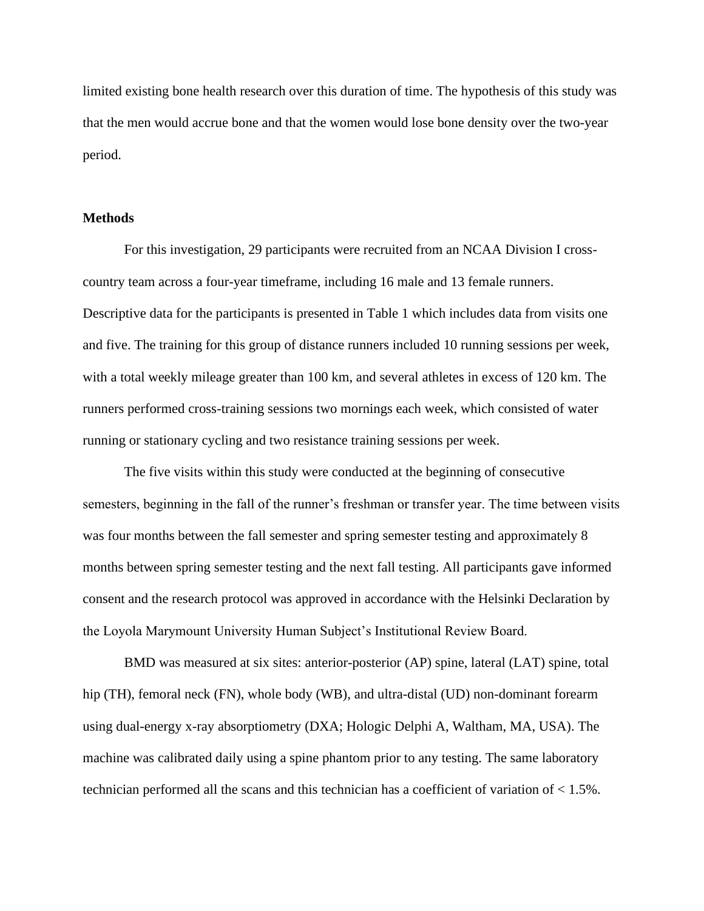limited existing bone health research over this duration of time. The hypothesis of this study was that the men would accrue bone and that the women would lose bone density over the two-year period.

#### **Methods**

For this investigation, 29 participants were recruited from an NCAA Division I crosscountry team across a four-year timeframe, including 16 male and 13 female runners. Descriptive data for the participants is presented in Table 1 which includes data from visits one and five. The training for this group of distance runners included 10 running sessions per week, with a total weekly mileage greater than 100 km, and several athletes in excess of 120 km. The runners performed cross-training sessions two mornings each week, which consisted of water running or stationary cycling and two resistance training sessions per week.

The five visits within this study were conducted at the beginning of consecutive semesters, beginning in the fall of the runner's freshman or transfer year. The time between visits was four months between the fall semester and spring semester testing and approximately 8 months between spring semester testing and the next fall testing. All participants gave informed consent and the research protocol was approved in accordance with the Helsinki Declaration by the Loyola Marymount University Human Subject's Institutional Review Board.

BMD was measured at six sites: anterior-posterior (AP) spine, lateral (LAT) spine, total hip (TH), femoral neck (FN), whole body (WB), and ultra-distal (UD) non-dominant forearm using dual-energy x-ray absorptiometry (DXA; Hologic Delphi A, Waltham, MA, USA). The machine was calibrated daily using a spine phantom prior to any testing. The same laboratory technician performed all the scans and this technician has a coefficient of variation of < 1.5%.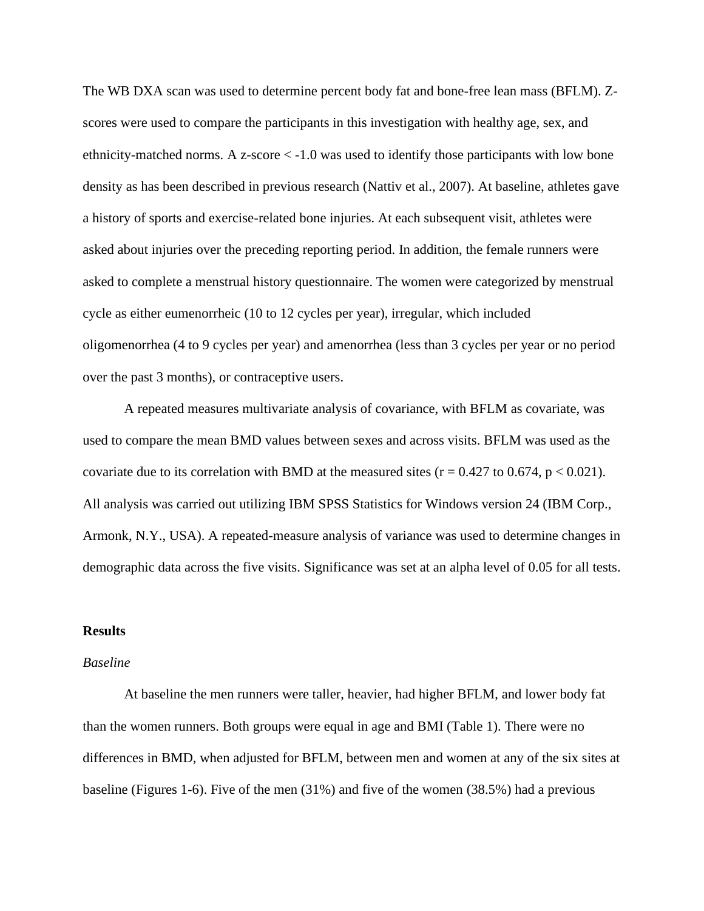The WB DXA scan was used to determine percent body fat and bone-free lean mass (BFLM). Zscores were used to compare the participants in this investigation with healthy age, sex, and ethnicity-matched norms. A z-score < -1.0 was used to identify those participants with low bone density as has been described in previous research (Nattiv et al., 2007). At baseline, athletes gave a history of sports and exercise-related bone injuries. At each subsequent visit, athletes were asked about injuries over the preceding reporting period. In addition, the female runners were asked to complete a menstrual history questionnaire. The women were categorized by menstrual cycle as either eumenorrheic (10 to 12 cycles per year), irregular, which included oligomenorrhea (4 to 9 cycles per year) and amenorrhea (less than 3 cycles per year or no period over the past 3 months), or contraceptive users.

A repeated measures multivariate analysis of covariance, with BFLM as covariate, was used to compare the mean BMD values between sexes and across visits. BFLM was used as the covariate due to its correlation with BMD at the measured sites  $(r = 0.427$  to 0.674,  $p < 0.021$ ). All analysis was carried out utilizing IBM SPSS Statistics for Windows version 24 (IBM Corp., Armonk, N.Y., USA). A repeated-measure analysis of variance was used to determine changes in demographic data across the five visits. Significance was set at an alpha level of 0.05 for all tests.

#### **Results**

#### *Baseline*

At baseline the men runners were taller, heavier, had higher BFLM, and lower body fat than the women runners. Both groups were equal in age and BMI (Table 1). There were no differences in BMD, when adjusted for BFLM, between men and women at any of the six sites at baseline (Figures 1-6). Five of the men (31%) and five of the women (38.5%) had a previous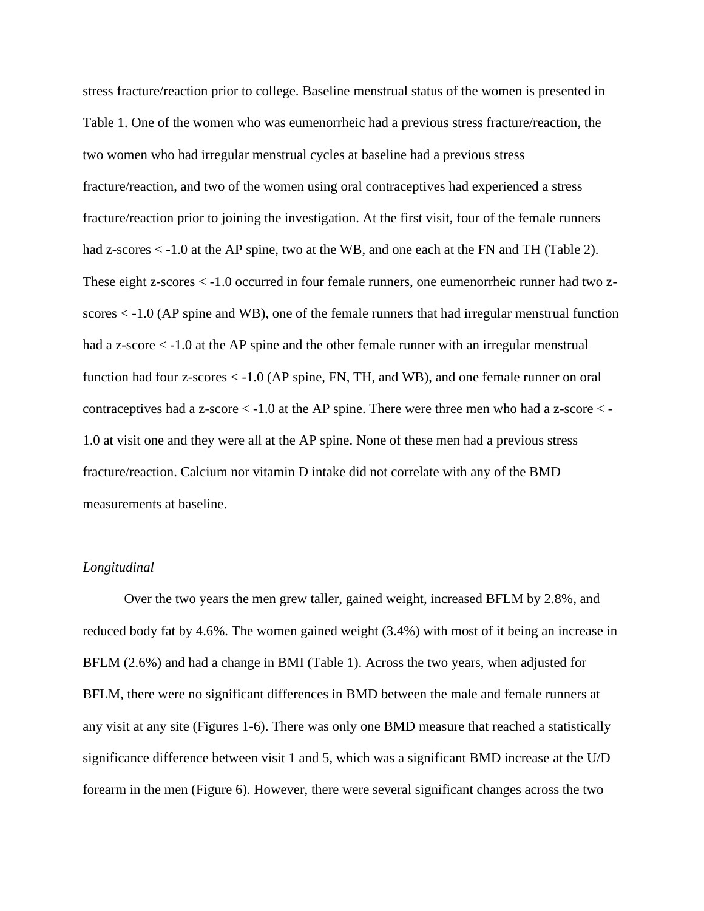stress fracture/reaction prior to college. Baseline menstrual status of the women is presented in Table 1. One of the women who was eumenorrheic had a previous stress fracture/reaction, the two women who had irregular menstrual cycles at baseline had a previous stress fracture/reaction, and two of the women using oral contraceptives had experienced a stress fracture/reaction prior to joining the investigation. At the first visit, four of the female runners had z-scores  $\lt$  -1.0 at the AP spine, two at the WB, and one each at the FN and TH (Table 2). These eight z-scores < -1.0 occurred in four female runners, one eumenorrheic runner had two zscores < -1.0 (AP spine and WB), one of the female runners that had irregular menstrual function had a z-score  $\lt$  -1.0 at the AP spine and the other female runner with an irregular menstrual function had four z-scores < -1.0 (AP spine, FN, TH, and WB), and one female runner on oral contraceptives had a z-score < -1.0 at the AP spine. There were three men who had a z-score < - 1.0 at visit one and they were all at the AP spine. None of these men had a previous stress fracture/reaction. Calcium nor vitamin D intake did not correlate with any of the BMD measurements at baseline.

#### *Longitudinal*

Over the two years the men grew taller, gained weight, increased BFLM by 2.8%, and reduced body fat by 4.6%. The women gained weight (3.4%) with most of it being an increase in BFLM (2.6%) and had a change in BMI (Table 1). Across the two years, when adjusted for BFLM, there were no significant differences in BMD between the male and female runners at any visit at any site (Figures 1-6). There was only one BMD measure that reached a statistically significance difference between visit 1 and 5, which was a significant BMD increase at the U/D forearm in the men (Figure 6). However, there were several significant changes across the two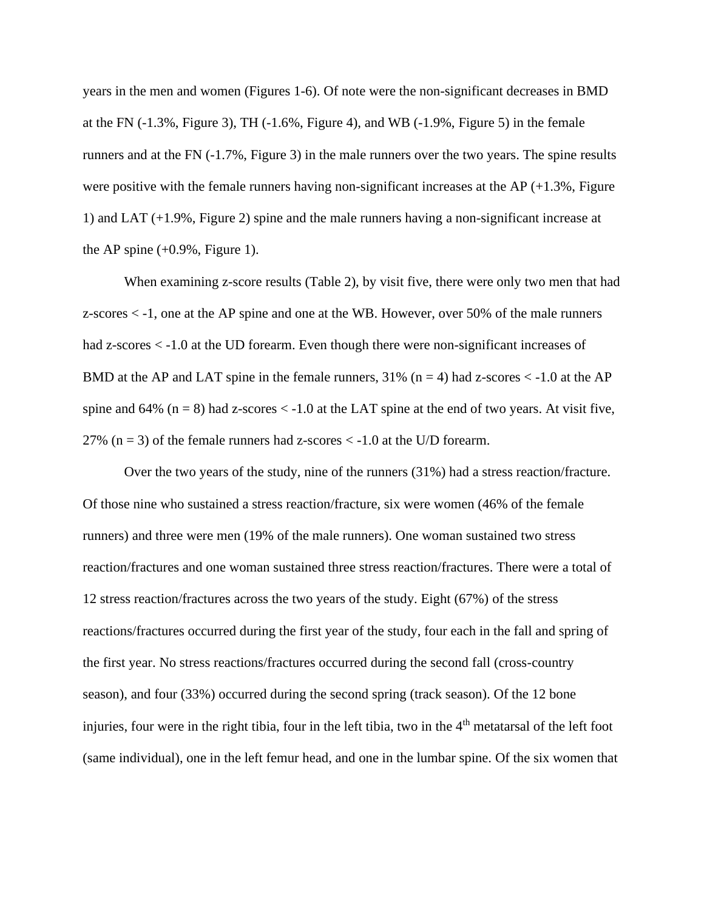years in the men and women (Figures 1-6). Of note were the non-significant decreases in BMD at the FN  $(-1.3\%$ , Figure 3), TH  $(-1.6\%$ , Figure 4), and WB  $(-1.9\%$ , Figure 5) in the female runners and at the FN (-1.7%, Figure 3) in the male runners over the two years. The spine results were positive with the female runners having non-significant increases at the AP  $(+1.3\%$ , Figure 1) and LAT (+1.9%, Figure 2) spine and the male runners having a non-significant increase at the AP spine  $(+0.9\%$ , Figure 1).

When examining z-score results (Table 2), by visit five, there were only two men that had z-scores < -1, one at the AP spine and one at the WB. However, over 50% of the male runners had z-scores < -1.0 at the UD forearm. Even though there were non-significant increases of BMD at the AP and LAT spine in the female runners,  $31\%$  (n = 4) had z-scores < -1.0 at the AP spine and  $64\%$  (n = 8) had z-scores  $\lt$  -1.0 at the LAT spine at the end of two years. At visit five, 27% ( $n = 3$ ) of the female runners had z-scores  $\lt$  -1.0 at the U/D forearm.

Over the two years of the study, nine of the runners (31%) had a stress reaction/fracture. Of those nine who sustained a stress reaction/fracture, six were women (46% of the female runners) and three were men (19% of the male runners). One woman sustained two stress reaction/fractures and one woman sustained three stress reaction/fractures. There were a total of 12 stress reaction/fractures across the two years of the study. Eight (67%) of the stress reactions/fractures occurred during the first year of the study, four each in the fall and spring of the first year. No stress reactions/fractures occurred during the second fall (cross-country season), and four (33%) occurred during the second spring (track season). Of the 12 bone injuries, four were in the right tibia, four in the left tibia, two in the 4<sup>th</sup> metatarsal of the left foot (same individual), one in the left femur head, and one in the lumbar spine. Of the six women that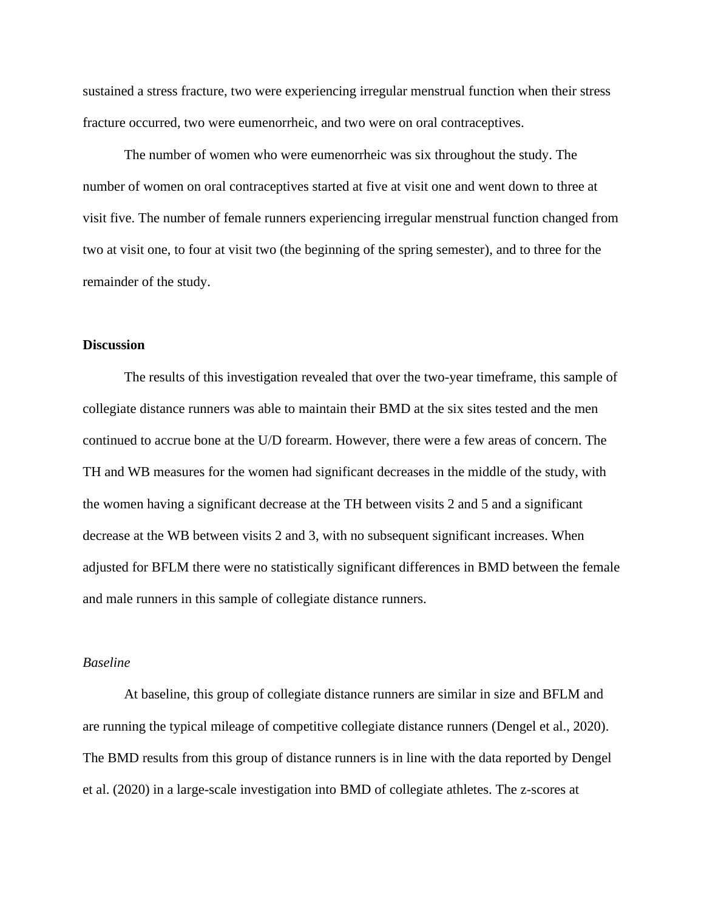sustained a stress fracture, two were experiencing irregular menstrual function when their stress fracture occurred, two were eumenorrheic, and two were on oral contraceptives.

The number of women who were eumenorrheic was six throughout the study. The number of women on oral contraceptives started at five at visit one and went down to three at visit five. The number of female runners experiencing irregular menstrual function changed from two at visit one, to four at visit two (the beginning of the spring semester), and to three for the remainder of the study.

#### **Discussion**

The results of this investigation revealed that over the two-year timeframe, this sample of collegiate distance runners was able to maintain their BMD at the six sites tested and the men continued to accrue bone at the U/D forearm. However, there were a few areas of concern. The TH and WB measures for the women had significant decreases in the middle of the study, with the women having a significant decrease at the TH between visits 2 and 5 and a significant decrease at the WB between visits 2 and 3, with no subsequent significant increases. When adjusted for BFLM there were no statistically significant differences in BMD between the female and male runners in this sample of collegiate distance runners.

#### *Baseline*

At baseline, this group of collegiate distance runners are similar in size and BFLM and are running the typical mileage of competitive collegiate distance runners (Dengel et al., 2020). The BMD results from this group of distance runners is in line with the data reported by Dengel et al. (2020) in a large-scale investigation into BMD of collegiate athletes. The z-scores at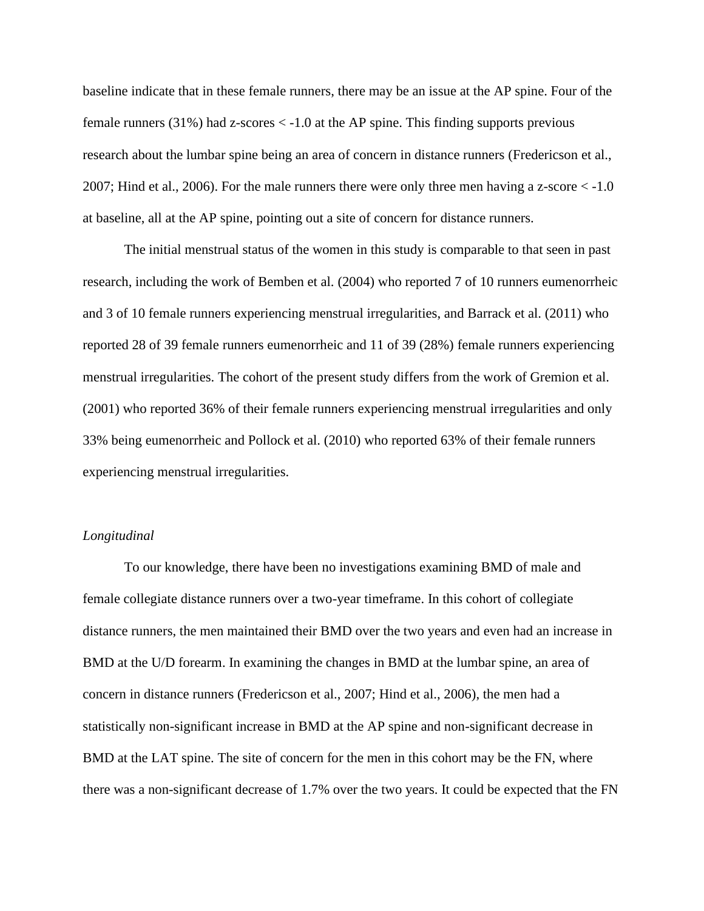baseline indicate that in these female runners, there may be an issue at the AP spine. Four of the female runners  $(31\%)$  had z-scores  $\lt$  -1.0 at the AP spine. This finding supports previous research about the lumbar spine being an area of concern in distance runners (Fredericson et al., 2007; Hind et al., 2006). For the male runners there were only three men having a z-score < -1.0 at baseline, all at the AP spine, pointing out a site of concern for distance runners.

The initial menstrual status of the women in this study is comparable to that seen in past research, including the work of Bemben et al. (2004) who reported 7 of 10 runners eumenorrheic and 3 of 10 female runners experiencing menstrual irregularities, and Barrack et al. (2011) who reported 28 of 39 female runners eumenorrheic and 11 of 39 (28%) female runners experiencing menstrual irregularities. The cohort of the present study differs from the work of Gremion et al. (2001) who reported 36% of their female runners experiencing menstrual irregularities and only 33% being eumenorrheic and Pollock et al. (2010) who reported 63% of their female runners experiencing menstrual irregularities.

#### *Longitudinal*

To our knowledge, there have been no investigations examining BMD of male and female collegiate distance runners over a two-year timeframe. In this cohort of collegiate distance runners, the men maintained their BMD over the two years and even had an increase in BMD at the U/D forearm. In examining the changes in BMD at the lumbar spine, an area of concern in distance runners (Fredericson et al., 2007; Hind et al., 2006), the men had a statistically non-significant increase in BMD at the AP spine and non-significant decrease in BMD at the LAT spine. The site of concern for the men in this cohort may be the FN, where there was a non-significant decrease of 1.7% over the two years. It could be expected that the FN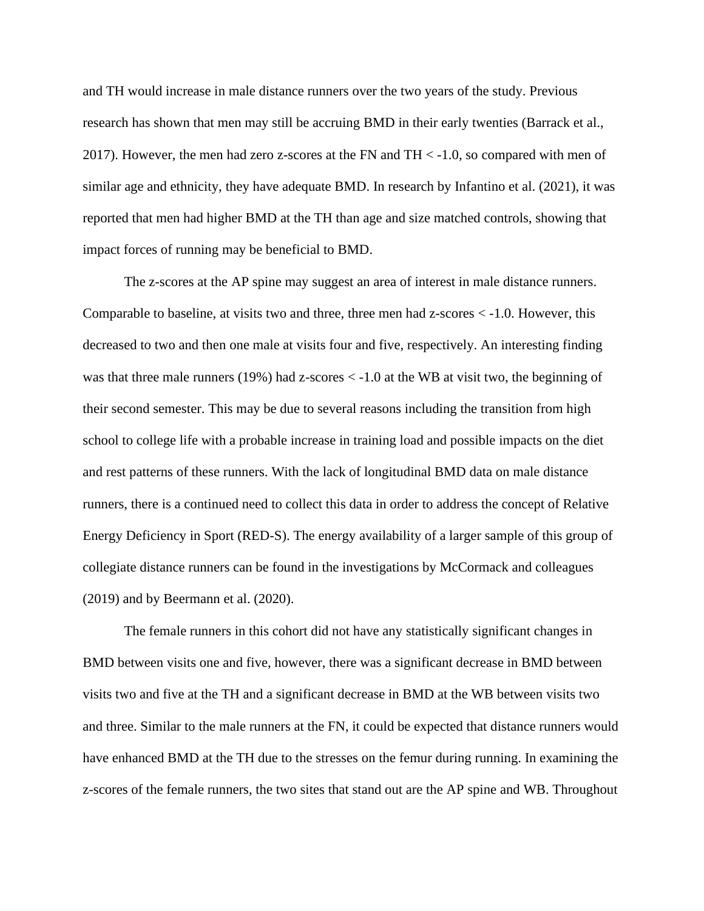and TH would increase in male distance runners over the two years of the study. Previous research has shown that men may still be accruing BMD in their early twenties (Barrack et al., 2017). However, the men had zero z-scores at the FN and  $TH < -1.0$ , so compared with men of similar age and ethnicity, they have adequate BMD. In research by Infantino et al. (2021), it was reported that men had higher BMD at the TH than age and size matched controls, showing that impact forces of running may be beneficial to BMD.

The z-scores at the AP spine may suggest an area of interest in male distance runners. Comparable to baseline, at visits two and three, three men had z-scores  $\lt$  -1.0. However, this decreased to two and then one male at visits four and five, respectively. An interesting finding was that three male runners (19%) had z-scores < -1.0 at the WB at visit two, the beginning of their second semester. This may be due to several reasons including the transition from high school to college life with a probable increase in training load and possible impacts on the diet and rest patterns of these runners. With the lack of longitudinal BMD data on male distance runners, there is a continued need to collect this data in order to address the concept of Relative Energy Deficiency in Sport (RED-S). The energy availability of a larger sample of this group of collegiate distance runners can be found in the investigations by McCormack and colleagues (2019) and by Beermann et al. (2020).

The female runners in this cohort did not have any statistically significant changes in BMD between visits one and five, however, there was a significant decrease in BMD between visits two and five at the TH and a significant decrease in BMD at the WB between visits two and three. Similar to the male runners at the FN, it could be expected that distance runners would have enhanced BMD at the TH due to the stresses on the femur during running. In examining the z-scores of the female runners, the two sites that stand out are the AP spine and WB. Throughout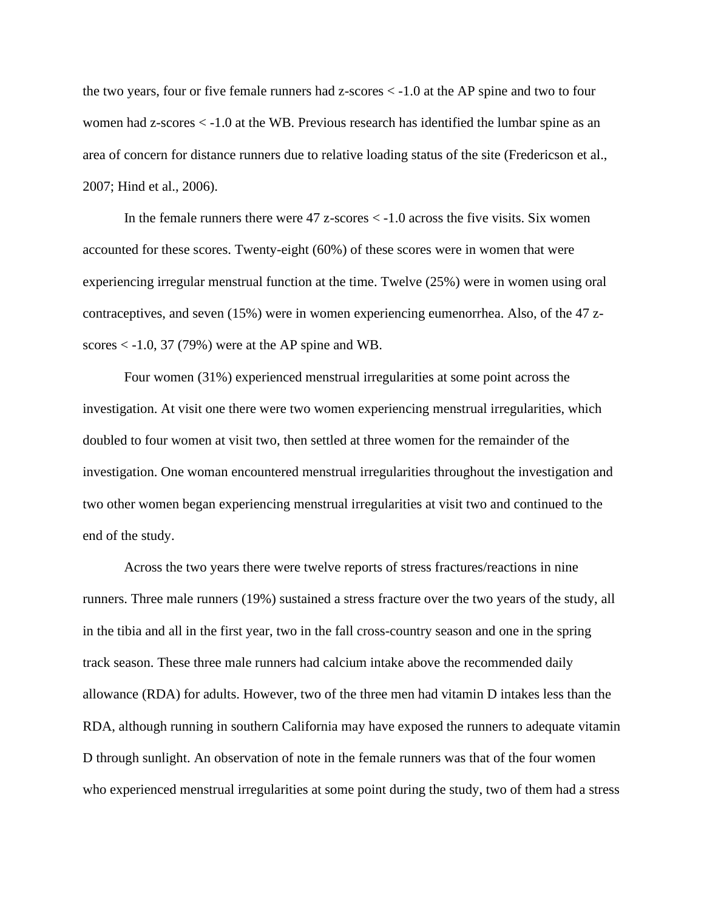the two years, four or five female runners had z-scores < -1.0 at the AP spine and two to four women had z-scores < -1.0 at the WB. Previous research has identified the lumbar spine as an area of concern for distance runners due to relative loading status of the site (Fredericson et al., 2007; Hind et al., 2006).

In the female runners there were  $47$  z-scores  $\lt$  -1.0 across the five visits. Six women accounted for these scores. Twenty-eight (60%) of these scores were in women that were experiencing irregular menstrual function at the time. Twelve (25%) were in women using oral contraceptives, and seven (15%) were in women experiencing eumenorrhea. Also, of the 47 zscores  $\lt$  -1.0, 37 (79%) were at the AP spine and WB.

Four women (31%) experienced menstrual irregularities at some point across the investigation. At visit one there were two women experiencing menstrual irregularities, which doubled to four women at visit two, then settled at three women for the remainder of the investigation. One woman encountered menstrual irregularities throughout the investigation and two other women began experiencing menstrual irregularities at visit two and continued to the end of the study.

Across the two years there were twelve reports of stress fractures/reactions in nine runners. Three male runners (19%) sustained a stress fracture over the two years of the study, all in the tibia and all in the first year, two in the fall cross-country season and one in the spring track season. These three male runners had calcium intake above the recommended daily allowance (RDA) for adults. However, two of the three men had vitamin D intakes less than the RDA, although running in southern California may have exposed the runners to adequate vitamin D through sunlight. An observation of note in the female runners was that of the four women who experienced menstrual irregularities at some point during the study, two of them had a stress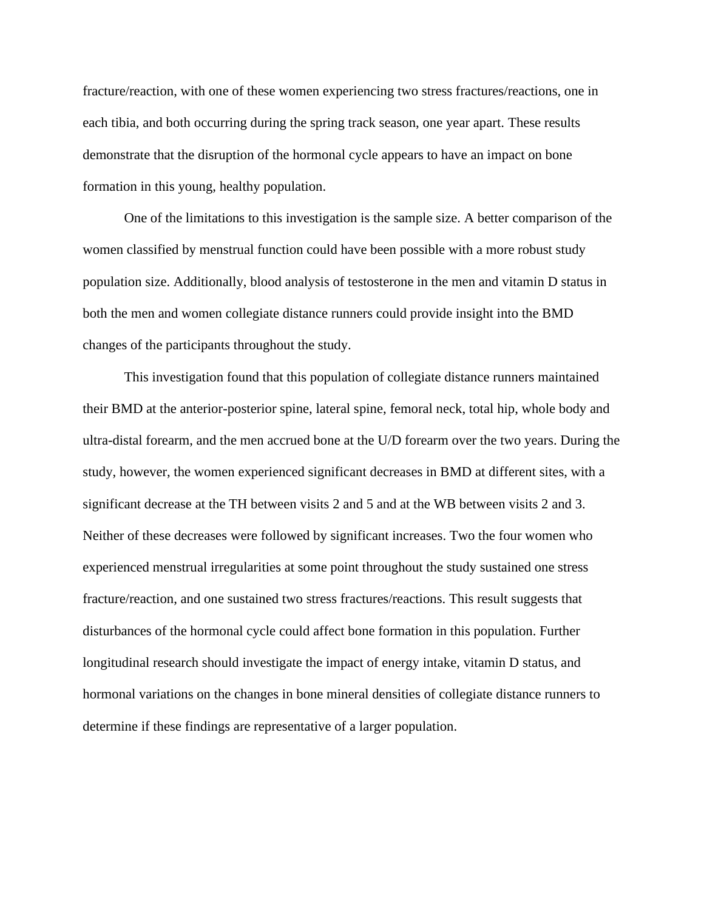fracture/reaction, with one of these women experiencing two stress fractures/reactions, one in each tibia, and both occurring during the spring track season, one year apart. These results demonstrate that the disruption of the hormonal cycle appears to have an impact on bone formation in this young, healthy population.

One of the limitations to this investigation is the sample size. A better comparison of the women classified by menstrual function could have been possible with a more robust study population size. Additionally, blood analysis of testosterone in the men and vitamin D status in both the men and women collegiate distance runners could provide insight into the BMD changes of the participants throughout the study.

This investigation found that this population of collegiate distance runners maintained their BMD at the anterior-posterior spine, lateral spine, femoral neck, total hip, whole body and ultra-distal forearm, and the men accrued bone at the U/D forearm over the two years. During the study, however, the women experienced significant decreases in BMD at different sites, with a significant decrease at the TH between visits 2 and 5 and at the WB between visits 2 and 3. Neither of these decreases were followed by significant increases. Two the four women who experienced menstrual irregularities at some point throughout the study sustained one stress fracture/reaction, and one sustained two stress fractures/reactions. This result suggests that disturbances of the hormonal cycle could affect bone formation in this population. Further longitudinal research should investigate the impact of energy intake, vitamin D status, and hormonal variations on the changes in bone mineral densities of collegiate distance runners to determine if these findings are representative of a larger population.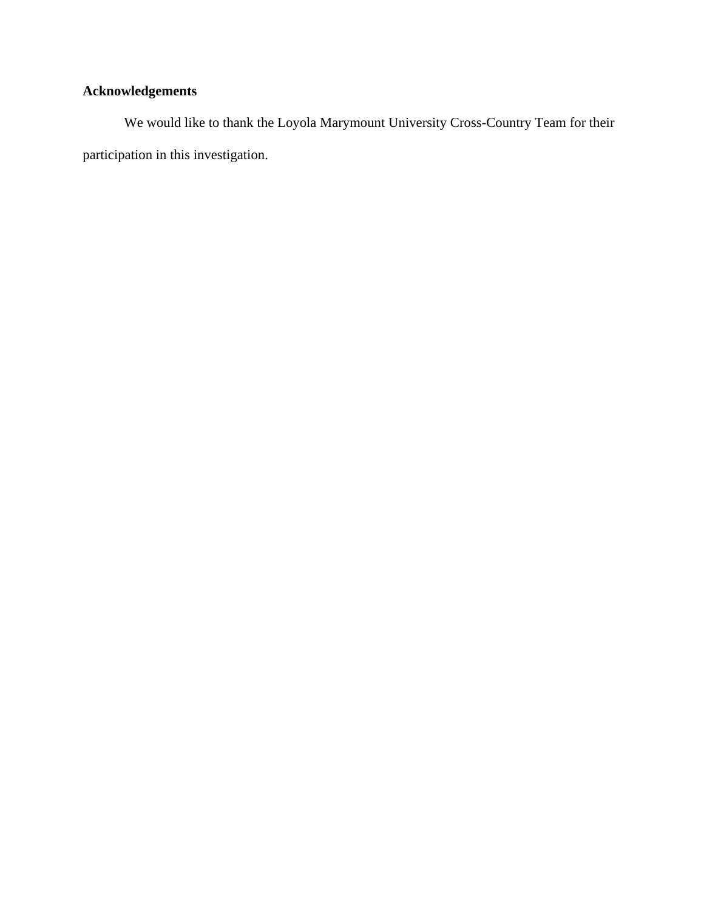## **Acknowledgements**

We would like to thank the Loyola Marymount University Cross-Country Team for their participation in this investigation.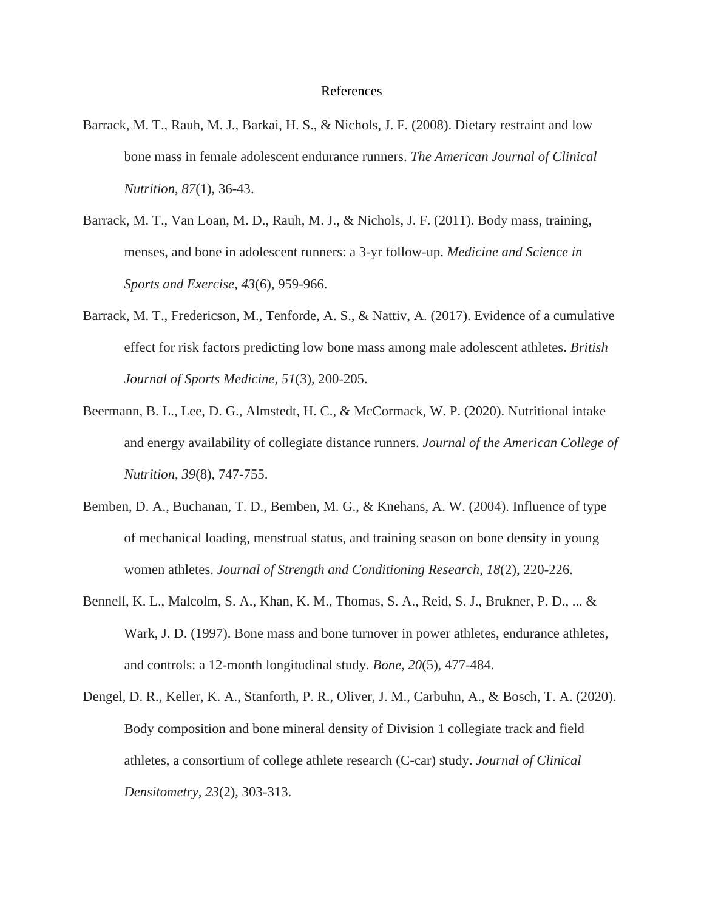#### References

- Barrack, M. T., Rauh, M. J., Barkai, H. S., & Nichols, J. F. (2008). Dietary restraint and low bone mass in female adolescent endurance runners. *The American Journal of Clinical Nutrition*, *87*(1), 36-43.
- Barrack, M. T., Van Loan, M. D., Rauh, M. J., & Nichols, J. F. (2011). Body mass, training, menses, and bone in adolescent runners: a 3-yr follow-up. *Medicine and Science in Sports and Exercise*, *43*(6), 959-966.
- Barrack, M. T., Fredericson, M., Tenforde, A. S., & Nattiv, A. (2017). Evidence of a cumulative effect for risk factors predicting low bone mass among male adolescent athletes. *British Journal of Sports Medicine*, *51*(3), 200-205.
- Beermann, B. L., Lee, D. G., Almstedt, H. C., & McCormack, W. P. (2020). Nutritional intake and energy availability of collegiate distance runners. *Journal of the American College of Nutrition*, *39*(8), 747-755.
- Bemben, D. A., Buchanan, T. D., Bemben, M. G., & Knehans, A. W. (2004). Influence of type of mechanical loading, menstrual status, and training season on bone density in young women athletes. *Journal of Strength and Conditioning Research*, *18*(2), 220-226.
- Bennell, K. L., Malcolm, S. A., Khan, K. M., Thomas, S. A., Reid, S. J., Brukner, P. D., ... & Wark, J. D. (1997). Bone mass and bone turnover in power athletes, endurance athletes, and controls: a 12-month longitudinal study. *Bone*, *20*(5), 477-484.
- Dengel, D. R., Keller, K. A., Stanforth, P. R., Oliver, J. M., Carbuhn, A., & Bosch, T. A. (2020). Body composition and bone mineral density of Division 1 collegiate track and field athletes, a consortium of college athlete research (C-car) study. *Journal of Clinical Densitometry*, *23*(2), 303-313.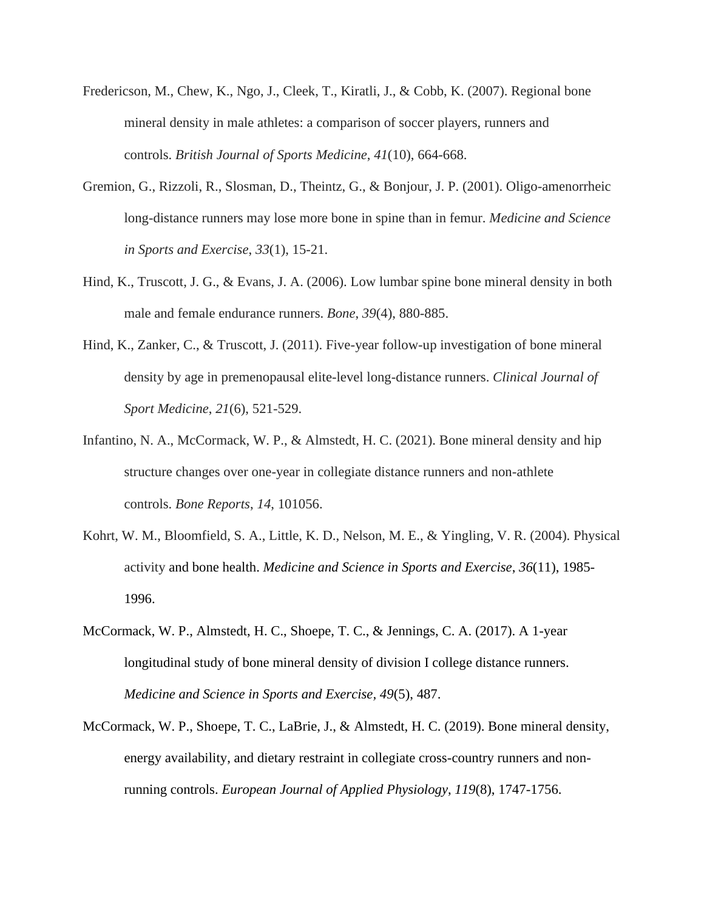- Fredericson, M., Chew, K., Ngo, J., Cleek, T., Kiratli, J., & Cobb, K. (2007). Regional bone mineral density in male athletes: a comparison of soccer players, runners and controls. *British Journal of Sports Medicine*, *41*(10), 664-668.
- Gremion, G., Rizzoli, R., Slosman, D., Theintz, G., & Bonjour, J. P. (2001). Oligo-amenorrheic long-distance runners may lose more bone in spine than in femur. *Medicine and Science in Sports and Exercise*, *33*(1), 15-21.
- Hind, K., Truscott, J. G., & Evans, J. A. (2006). Low lumbar spine bone mineral density in both male and female endurance runners. *Bone*, *39*(4), 880-885.
- Hind, K., Zanker, C., & Truscott, J. (2011). Five-year follow-up investigation of bone mineral density by age in premenopausal elite-level long-distance runners. *Clinical Journal of Sport Medicine*, *21*(6), 521-529.
- Infantino, N. A., McCormack, W. P., & Almstedt, H. C. (2021). Bone mineral density and hip structure changes over one-year in collegiate distance runners and non-athlete controls. *Bone Reports*, *14*, 101056.
- Kohrt, W. M., Bloomfield, S. A., Little, K. D., Nelson, M. E., & Yingling, V. R. (2004). Physical activity and bone health. *Medicine and Science in Sports and Exercise*, *36*(11), 1985- 1996.
- McCormack, W. P., Almstedt, H. C., Shoepe, T. C., & Jennings, C. A. (2017). A 1-year longitudinal study of bone mineral density of division I college distance runners. *Medicine and Science in Sports and Exercise, 49*(5), 487.
- McCormack, W. P., Shoepe, T. C., LaBrie, J., & Almstedt, H. C. (2019). Bone mineral density, energy availability, and dietary restraint in collegiate cross-country runners and nonrunning controls. *European Journal of Applied Physiology*, *119*(8), 1747-1756.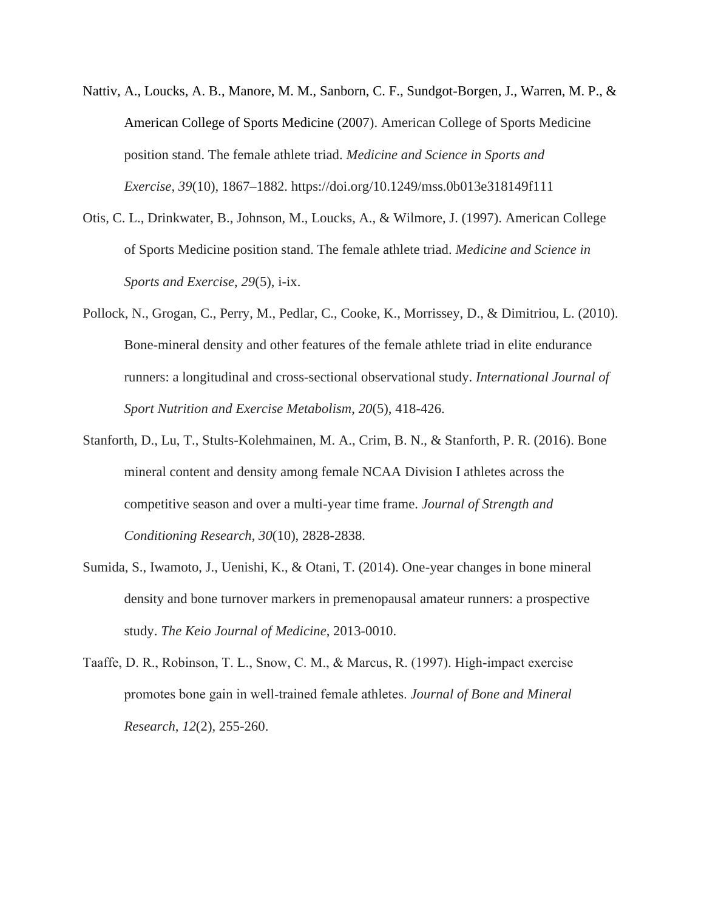- Nattiv, A., Loucks, A. B., Manore, M. M., Sanborn, C. F., Sundgot-Borgen, J., Warren, M. P., & American College of Sports Medicine (2007). American College of Sports Medicine position stand. The female athlete triad. *Medicine and Science in Sports and Exercise*, *39*(10), 1867–1882. https://doi.org/10.1249/mss.0b013e318149f111
- Otis, C. L., Drinkwater, B., Johnson, M., Loucks, A., & Wilmore, J. (1997). American College of Sports Medicine position stand. The female athlete triad. *Medicine and Science in Sports and Exercise*, *29*(5), i-ix.
- Pollock, N., Grogan, C., Perry, M., Pedlar, C., Cooke, K., Morrissey, D., & Dimitriou, L. (2010). Bone-mineral density and other features of the female athlete triad in elite endurance runners: a longitudinal and cross-sectional observational study. *International Journal of Sport Nutrition and Exercise Metabolism*, *20*(5), 418-426.
- Stanforth, D., Lu, T., Stults-Kolehmainen, M. A., Crim, B. N., & Stanforth, P. R. (2016). Bone mineral content and density among female NCAA Division I athletes across the competitive season and over a multi-year time frame. *Journal of Strength and Conditioning Research*, *30*(10), 2828-2838.
- Sumida, S., Iwamoto, J., Uenishi, K., & Otani, T. (2014). One-year changes in bone mineral density and bone turnover markers in premenopausal amateur runners: a prospective study. *The Keio Journal of Medicine*, 2013-0010.
- Taaffe, D. R., Robinson, T. L., Snow, C. M., & Marcus, R. (1997). High-impact exercise promotes bone gain in well‐trained female athletes. *Journal of Bone and Mineral Research*, *12*(2), 255-260.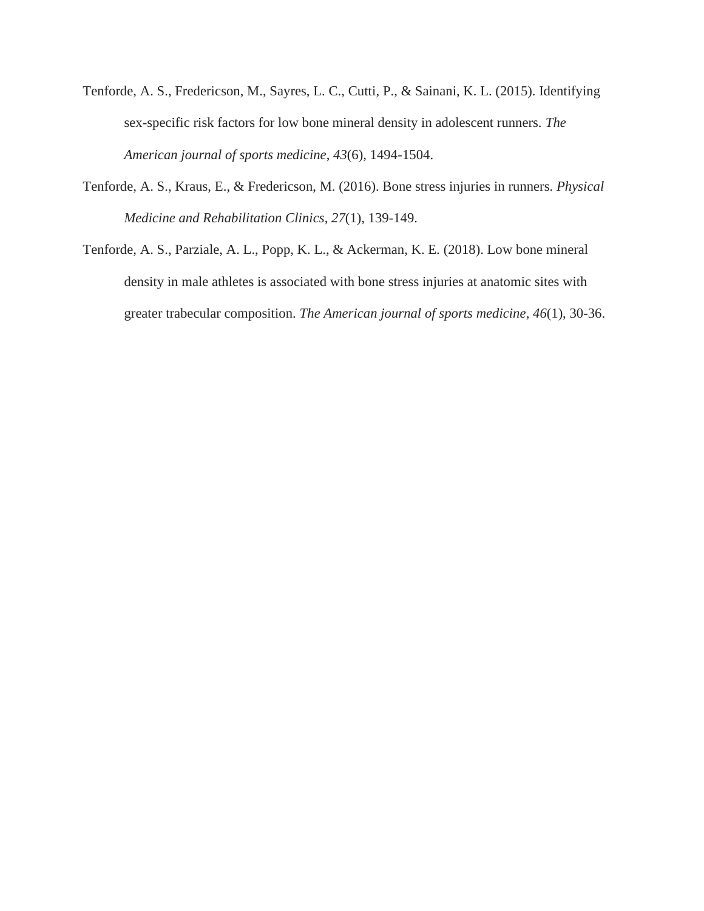- Tenforde, A. S., Fredericson, M., Sayres, L. C., Cutti, P., & Sainani, K. L. (2015). Identifying sex-specific risk factors for low bone mineral density in adolescent runners. *The American journal of sports medicine*, *43*(6), 1494-1504.
- Tenforde, A. S., Kraus, E., & Fredericson, M. (2016). Bone stress injuries in runners. *Physical Medicine and Rehabilitation Clinics*, *27*(1), 139-149.
- Tenforde, A. S., Parziale, A. L., Popp, K. L., & Ackerman, K. E. (2018). Low bone mineral density in male athletes is associated with bone stress injuries at anatomic sites with greater trabecular composition. *The American journal of sports medicine*, *46*(1), 30-36.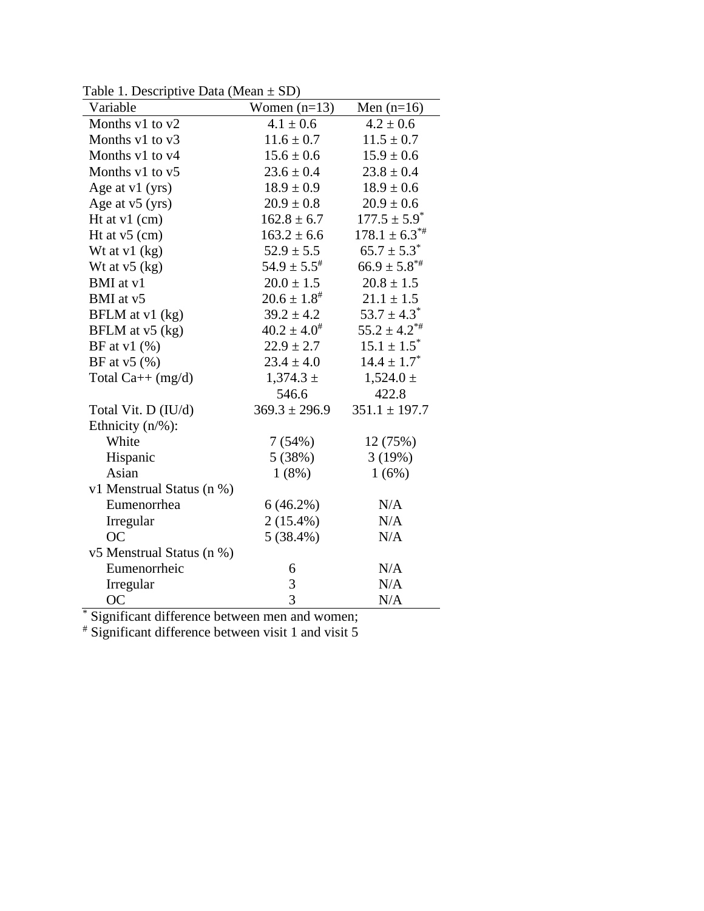Table 1. Descriptive Data (Mean  $\pm$  SD)

| rabic 1. Descriptive Data (incan $\pm$ SD)<br>Variable | Women $(n=13)$      | Men $(n=16)$              |  |
|--------------------------------------------------------|---------------------|---------------------------|--|
| Months v1 to v2                                        | $4.1 \pm 0.6$       | $4.2 \pm 0.6$             |  |
| Months v1 to v3                                        | $11.6 \pm 0.7$      | $11.5 \pm 0.7$            |  |
| Months v1 to v4                                        | $15.6 \pm 0.6$      | $15.9 \pm 0.6$            |  |
| Months v1 to v5                                        | $23.6 \pm 0.4$      | $23.8 \pm 0.4$            |  |
| Age at v1 (yrs)                                        | $18.9 \pm 0.9$      | $18.9 \pm 0.6$            |  |
| Age at $v5$ (yrs)                                      | $20.9 \pm 0.8$      | $20.9 \pm 0.6$            |  |
| Ht at v1 (cm)                                          | $162.8 \pm 6.7$     | $177.5 \pm 5.9^*$         |  |
| Ht at $v5$ (cm)                                        | $163.2 \pm 6.6$     | $178.1 \pm 6.3^{**}$      |  |
| Wt at $v1$ (kg)                                        | $52.9 \pm 5.5$      | $65.7 \pm 5.3^*$          |  |
| Wt at $v5$ (kg)                                        | $54.9 \pm 5.5^*$    | $66.9 \pm 5.8^{*}$        |  |
| BMI at v1                                              | $20.0 \pm 1.5$      | $20.8 \pm 1.5$            |  |
| BMI at v5                                              | $20.6 \pm 1.8^{\#}$ | $21.1 \pm 1.5$            |  |
| BFLM at v1 (kg)                                        | $39.2 \pm 4.2$      | $53.7 \pm 4.3^*$          |  |
| BFLM at v5 (kg)                                        | $40.2 \pm 4.0^{\#}$ | $55.2 \pm 4.2^{\ast\ast}$ |  |
| BF at $v1$ (%)                                         | $22.9 \pm 2.7$      | $15.1 \pm 1.5^*$          |  |
| BF at $v5$ (%)                                         | $23.4 \pm 4.0$      | $14.4 \pm 1.7^*$          |  |
| Total $Ca++$ (mg/d)                                    | $1,374.3 \pm$       | $1,524.0 \pm$             |  |
|                                                        | 546.6               | 422.8                     |  |
| Total Vit. D (IU/d)                                    | $369.3 \pm 296.9$   | $351.1 \pm 197.7$         |  |
| Ethnicity $(n/\%)$ :                                   |                     |                           |  |
| White                                                  | 7(54%)              | 12 (75%)                  |  |
| Hispanic                                               | 5(38%)              | 3(19%)                    |  |
| Asian                                                  | 1(8%)               | 1(6%)                     |  |
| v1 Menstrual Status (n %)                              |                     |                           |  |
| Eumenorrhea                                            | 6(46.2%)            | N/A                       |  |
| Irregular                                              | $2(15.4\%)$         | N/A                       |  |
| <b>OC</b>                                              | $5(38.4\%)$         | N/A                       |  |
| v5 Menstrual Status (n %)                              |                     |                           |  |
| Eumenorrheic                                           | 6                   | N/A                       |  |
| Irregular                                              | 3                   | N/A                       |  |
| <b>OC</b>                                              | 3                   | N/A                       |  |

\* Significant difference between men and women;

# Significant difference between visit 1 and visit 5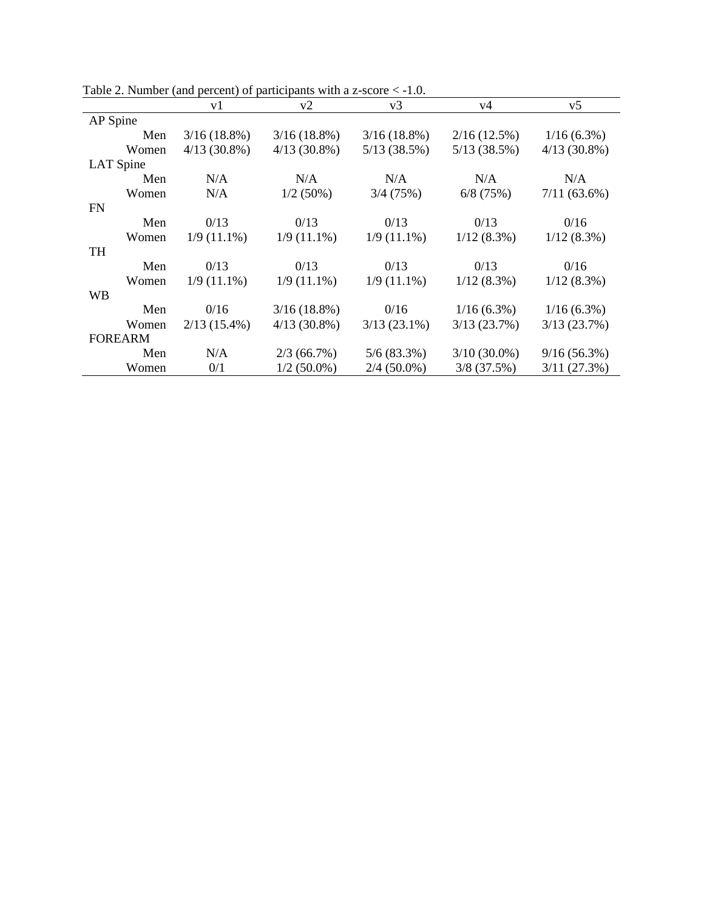|                | v1             | v2             | v3             | v4             | v5             |
|----------------|----------------|----------------|----------------|----------------|----------------|
| AP Spine       |                |                |                |                |                |
| Men            | $3/16(18.8\%)$ | $3/16(18.8\%)$ | 3/16(18.8%)    | 2/16(12.5%)    | $1/16(6.3\%)$  |
| Women          | $4/13(30.8\%)$ | $4/13(30.8\%)$ | 5/13(38.5%)    | 5/13(38.5%)    | $4/13(30.8\%)$ |
| LAT Spine      |                |                |                |                |                |
| Men            | N/A            | N/A            | N/A            | N/A            | N/A            |
| Women          | N/A            | $1/2(50\%)$    | 3/4(75%)       | $6/8$ (75%)    | $7/11(63.6\%)$ |
| <b>FN</b>      |                |                |                |                |                |
| Men            | 0/13           | 0/13           | 0/13           | 0/13           | 0/16           |
| Women          | $1/9(11.1\%)$  | $1/9(11.1\%)$  | $1/9(11.1\%)$  | $1/12(8.3\%)$  | $1/12(8.3\%)$  |
| <b>TH</b>      |                |                |                |                |                |
| Men            | 0/13           | 0/13           | 0/13           | 0/13           | 0/16           |
| Women          | $1/9(11.1\%)$  | $1/9(11.1\%)$  | $1/9(11.1\%)$  | $1/12(8.3\%)$  | $1/12(8.3\%)$  |
| <b>WB</b>      |                |                |                |                |                |
| Men            | 0/16           | $3/16(18.8\%)$ | 0/16           | $1/16(6.3\%)$  | $1/16(6.3\%)$  |
| Women          | $2/13(15.4\%)$ | $4/13(30.8\%)$ | $3/13(23.1\%)$ | 3/13(23.7%)    | 3/13(23.7%)    |
| <b>FOREARM</b> |                |                |                |                |                |
| Men            | N/A            | 2/3(66.7%)     | 5/6(83.3%)     | $3/10(30.0\%)$ | 9/16(56.3%)    |
| Women          | 0/1            | $1/2$ (50.0%)  | $2/4$ (50.0%)  | $3/8$ (37.5%)  | 3/11(27.3%)    |

Table 2. Number (and percent) of participants with a z-score  $\leq -1.0$ .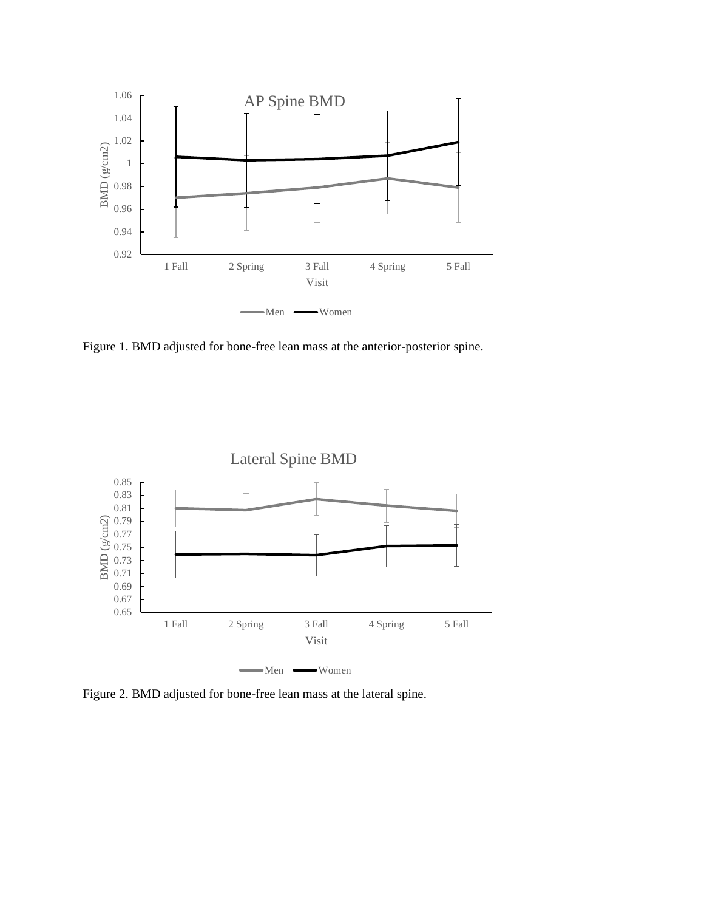

Figure 1. BMD adjusted for bone-free lean mass at the anterior-posterior spine.



Figure 2. BMD adjusted for bone-free lean mass at the lateral spine.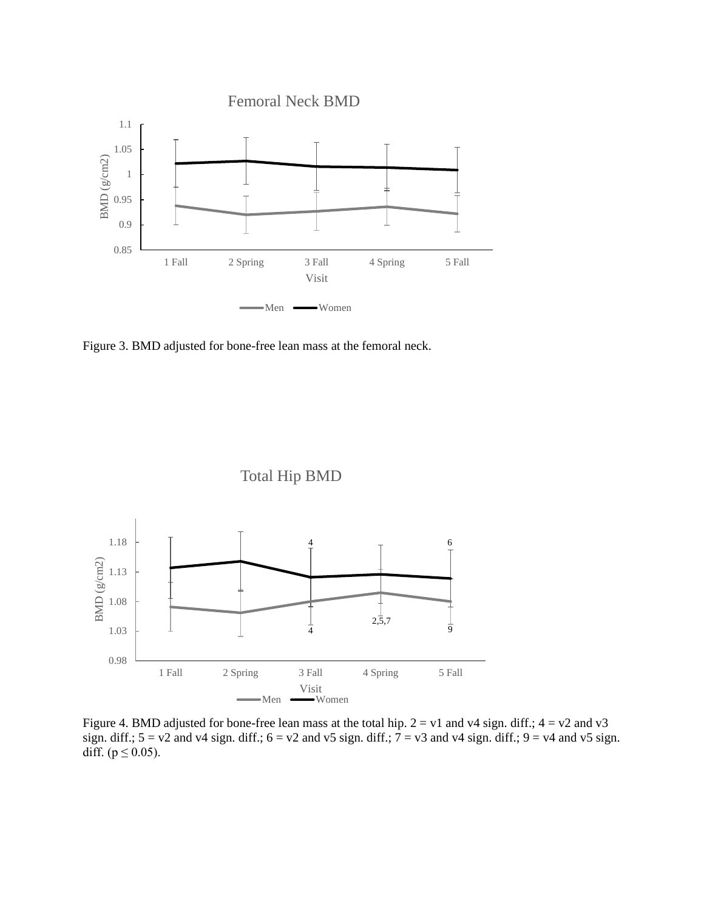

Figure 3. BMD adjusted for bone-free lean mass at the femoral neck.



Figure 4. BMD adjusted for bone-free lean mass at the total hip.  $2 = v1$  and v4 sign. diff.;  $4 = v2$  and v3 sign. diff.;  $5 = v2$  and v4 sign. diff.;  $6 = v2$  and v5 sign. diff.;  $7 = v3$  and v4 sign. diff.;  $9 = v4$  and v5 sign. diff. ( $p \le 0.05$ ).